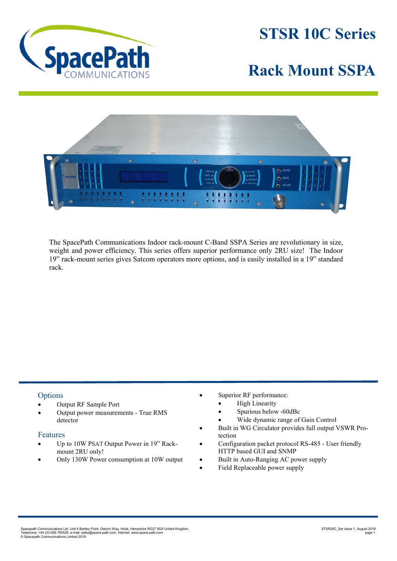

**STSR 10C Series**

## **Rack Mount SSPA**



The SpacePath Communications Indoor rack-mount C-Band SSPA Series are revolutionary in size, weight and power efficiency. This series offers superior performance only 2RU size! The Indoor 19" rack-mount series gives Satcom operators more options, and is easily installed in a 19" standard rack.

## **Options**

- Output RF Sample Port
- Output power measurements True RMS detector

## Features

- Up to 10W PSAT Output Power in 19" Rackmount 2RU only!
- Only 130W Power consumption at 10W output
- Superior RF performance:
	- High Linearity
	- Spurious below -60dBc
	- Wide dynamic range of Gain Control
- Built in WG Circulator provides full output VSWR Protection
- Configuration packet protocol RS-485 User friendly HTTP based GUI and SNMP
- Built in Auto-Ranging AC power supply
- Field Replaceable power supply